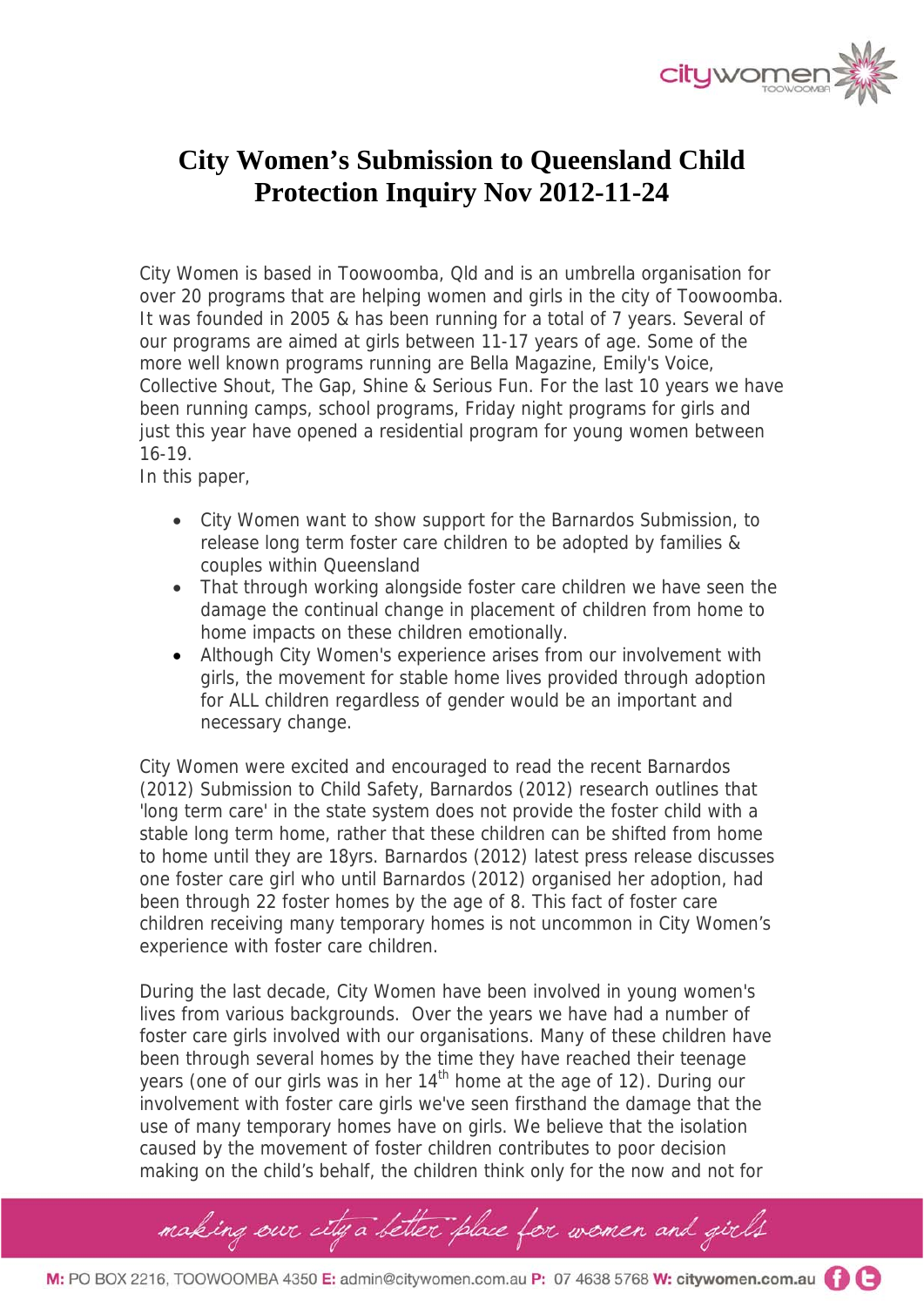

## **City Women's Submission to Queensland Child Protection Inquiry Nov 2012-11-24**

City Women is based in Toowoomba, Qld and is an umbrella organisation for over 20 programs that are helping women and girls in the city of Toowoomba. It was founded in 2005 & has been running for a total of 7 years. Several of our programs are aimed at girls between 11-17 years of age. Some of the more well known programs running are Bella Magazine, Emily's Voice, Collective Shout, The Gap, Shine & Serious Fun. For the last 10 years we have been running camps, school programs, Friday night programs for girls and just this year have opened a residential program for young women between 16-19.

In this paper,

- City Women want to show support for the Barnardos Submission, to release long term foster care children to be adopted by families & couples within Queensland
- That through working alongside foster care children we have seen the damage the continual change in placement of children from home to home impacts on these children emotionally.
- Although City Women's experience arises from our involvement with girls, the movement for stable home lives provided through adoption for ALL children regardless of gender would be an important and necessary change.

City Women were excited and encouraged to read the recent Barnardos (2012) Submission to Child Safety, Barnardos (2012) research outlines that 'long term care' in the state system does not provide the foster child with a stable long term home, rather that these children can be shifted from home to home until they are 18yrs. Barnardos (2012) latest press release discusses one foster care girl who until Barnardos (2012) organised her adoption, had been through 22 foster homes by the age of 8. This fact of foster care children receiving many temporary homes is not uncommon in City Women's experience with foster care children.

During the last decade, City Women have been involved in young women's lives from various backgrounds. Over the years we have had a number of foster care girls involved with our organisations. Many of these children have been through several homes by the time they have reached their teenage years (one of our girls was in her 14<sup>th</sup> home at the age of 12). During our involvement with foster care girls we've seen firsthand the damage that the use of many temporary homes have on girls. We believe that the isolation caused by the movement of foster children contributes to poor decision making on the child's behalf, the children think only for the now and not for